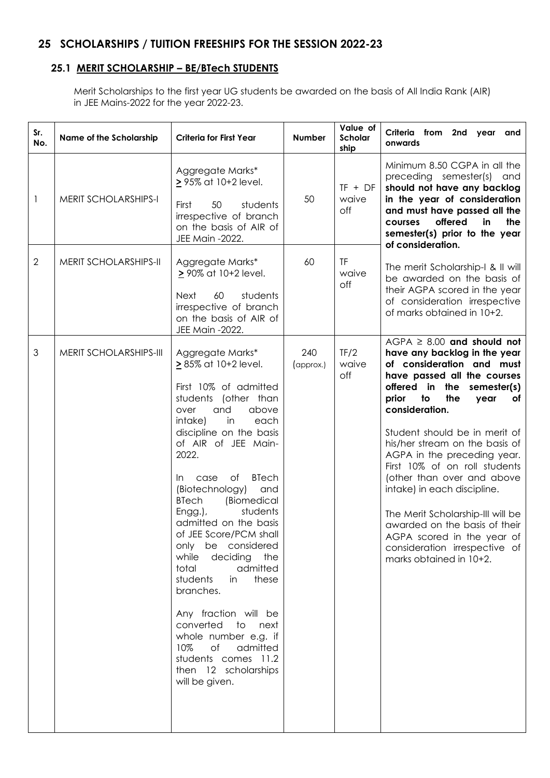# **25 SCHOLARSHIPS / TUITION FREESHIPS FOR THE SESSION 2022-23**

# **25.1 MERIT SCHOLARSHIP – BE/BTech STUDENTS**

Merit Scholarships to the first year UG students be awarded on the basis of All India Rank (AIR) in JEE Mains-2022 for the year 2022-23.

| Sr.<br>No.   | Name of the Scholarship     | <b>Criteria for First Year</b>                                                                                                                                                                                                                                                                                                                                                                                                                                                                                                                                                                                                                                | <b>Number</b>    | Value of<br>Scholar<br>ship | Criteria from 2nd year and<br>onwards                                                                                                                                                                                                                                                                                                                                                                                                                                                                                                                                           |
|--------------|-----------------------------|---------------------------------------------------------------------------------------------------------------------------------------------------------------------------------------------------------------------------------------------------------------------------------------------------------------------------------------------------------------------------------------------------------------------------------------------------------------------------------------------------------------------------------------------------------------------------------------------------------------------------------------------------------------|------------------|-----------------------------|---------------------------------------------------------------------------------------------------------------------------------------------------------------------------------------------------------------------------------------------------------------------------------------------------------------------------------------------------------------------------------------------------------------------------------------------------------------------------------------------------------------------------------------------------------------------------------|
| $\mathbf{1}$ | <b>MERIT SCHOLARSHIPS-I</b> | Aggregate Marks*<br>2 95% at 10+2 level.<br>First<br>50<br>students<br>irrespective of branch<br>on the basis of AIR of<br>JEE Main -2022.                                                                                                                                                                                                                                                                                                                                                                                                                                                                                                                    | 50               | $TF + DF$<br>waive<br>off   | Minimum 8.50 CGPA in all the<br>preceding semester(s) and<br>should not have any backlog<br>in the year of consideration<br>and must have passed all the<br>offered<br>in<br>the<br>courses<br>semester(s) prior to the year<br>of consideration.                                                                                                                                                                                                                                                                                                                               |
| 2            | MERIT SCHOLARSHIPS-II       | Aggregate Marks*<br>2 90% at 10+2 level.<br>students<br>60<br>Next<br>irrespective of branch<br>on the basis of AIR of<br>JEE Main -2022.                                                                                                                                                                                                                                                                                                                                                                                                                                                                                                                     | 60               | <b>TF</b><br>waive<br>off   | The merit Scholarship-I & II will<br>be awarded on the basis of<br>their AGPA scored in the year<br>of consideration irrespective<br>of marks obtained in 10+2.                                                                                                                                                                                                                                                                                                                                                                                                                 |
| 3            | MERIT SCHOLARSHIPS-III      | Aggregate Marks*<br>$\geq$ 85% at 10+2 level.<br>First 10% of admitted<br>students (other than<br>and<br>above<br>over<br>intake)<br>in<br>each<br>discipline on the basis<br>of AIR of JEE Main-<br>2022.<br><b>BTech</b><br>of<br>case<br>In.<br>(Biotechnology)<br>and<br><b>BTech</b><br>(Biomedical<br>students<br>Engg.),<br>admitted on the basis<br>of JEE Score/PCM shall<br>only be considered<br>while<br>deciding<br>the<br>total<br>admitted<br>students<br>these<br>in<br>branches.<br>Any fraction will be<br>converted to next<br>whole number e.g. if<br>10%<br>of admitted<br>students comes 11.2<br>then 12 scholarships<br>will be given. | 240<br>(approx.) | TF/2<br>waive<br>off        | $AGPA \geq 8.00$ and should not<br>have any backlog in the year<br>of consideration and must<br>have passed all the courses<br>offered in the semester(s)<br>the<br>prior<br>to<br>year<br>of<br>consideration.<br>Student should be in merit of<br>his/her stream on the basis of<br>AGPA in the preceding year.<br>First 10% of on roll students<br>(other than over and above<br>intake) in each discipline.<br>The Merit Scholarship-III will be<br>awarded on the basis of their<br>AGPA scored in the year of<br>consideration irrespective of<br>marks obtained in 10+2. |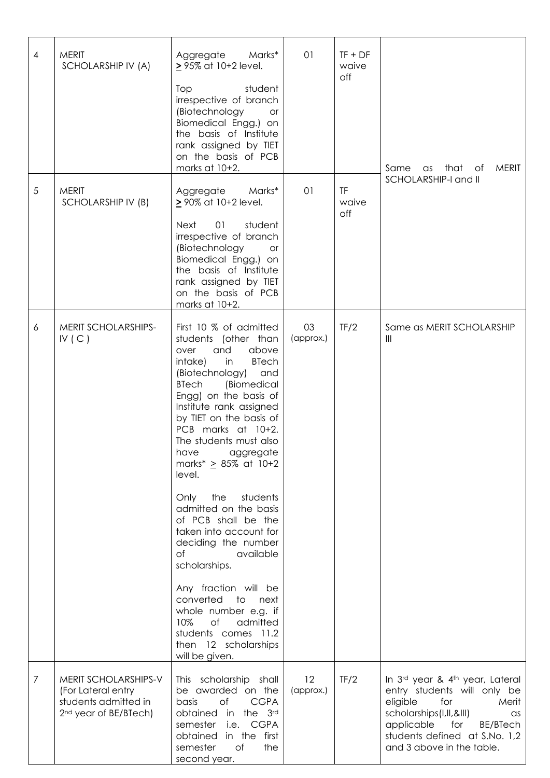| 4 | <b>MERIT</b><br>SCHOLARSHIP IV (A)                                                                      | Aggregate<br>Marks*<br>> 95% at 10+2 level.<br>Top<br>student<br>irrespective of branch<br>(Biotechnology<br>or<br>Biomedical Engg.) on<br>the basis of Institute<br>rank assigned by TIET<br>on the basis of PCB<br>marks at 10+2.                                                                                                                         | 01              | $TF + DF$<br>waive<br>off | Same<br>as that of<br><b>MERIT</b>                                                                                                                                                                                         |
|---|---------------------------------------------------------------------------------------------------------|-------------------------------------------------------------------------------------------------------------------------------------------------------------------------------------------------------------------------------------------------------------------------------------------------------------------------------------------------------------|-----------------|---------------------------|----------------------------------------------------------------------------------------------------------------------------------------------------------------------------------------------------------------------------|
| 5 | <b>MERIT</b><br>SCHOLARSHIP IV (B)                                                                      | Marks*<br>Aggregate<br>2 90% at 10+2 level.<br>01<br>student<br><b>Next</b><br>irrespective of branch<br>(Biotechnology<br><b>or</b><br>Biomedical Engg.) on<br>the basis of Institute<br>rank assigned by TIET<br>on the basis of PCB<br>marks at 10+2.                                                                                                    | 01              | TF<br>waive<br>off        | SCHOLARSHIP-I and II                                                                                                                                                                                                       |
| 6 | MERIT SCHOLARSHIPS-<br>IV(C)                                                                            | First 10 % of admitted<br>students (other than<br>and<br>over<br>above<br>intake)<br><b>BTech</b><br>in<br>(Biotechnology)<br>and<br><b>BTech</b><br>(Biomedical<br>Engg) on the basis of<br>Institute rank assigned<br>by TIET on the basis of<br>PCB marks at 10+2.<br>The students must also<br>have<br>aggregate<br>marks* $\geq$ 85% at 10+2<br>level. | 03<br>(approx.) | TF/2                      | Same as MERIT SCHOLARSHIP<br>$\  \ $                                                                                                                                                                                       |
|   |                                                                                                         | the<br>students<br>Only<br>admitted on the basis<br>of PCB shall be the<br>taken into account for<br>deciding the number<br>of<br>available<br>scholarships.<br>Any fraction will be                                                                                                                                                                        |                 |                           |                                                                                                                                                                                                                            |
|   |                                                                                                         | converted to next<br>whole number e.g. if<br>10%<br>of<br>admitted<br>students comes 11.2<br>then 12 scholarships<br>will be given.                                                                                                                                                                                                                         |                 |                           |                                                                                                                                                                                                                            |
| 7 | MERIT SCHOLARSHIPS-V<br>(For Lateral entry<br>students admitted in<br>2 <sup>nd</sup> year of BE/BTech) | This scholarship shall<br>be awarded on the<br>of<br><b>CGPA</b><br>basis<br>obtained in the 3rd<br>semester<br>i.e. CGPA<br>obtained in the first<br>of<br>semester<br>the<br>second year.                                                                                                                                                                 | 12<br>(approx.) | TF/2                      | In 3rd year & 4th year, Lateral<br>entry students will only be<br>eligible<br>for<br>Merit<br>scholarships(I, II, & III)<br>as<br>applicable for<br>BE/BTech<br>students defined at S.No. 1,2<br>and 3 above in the table. |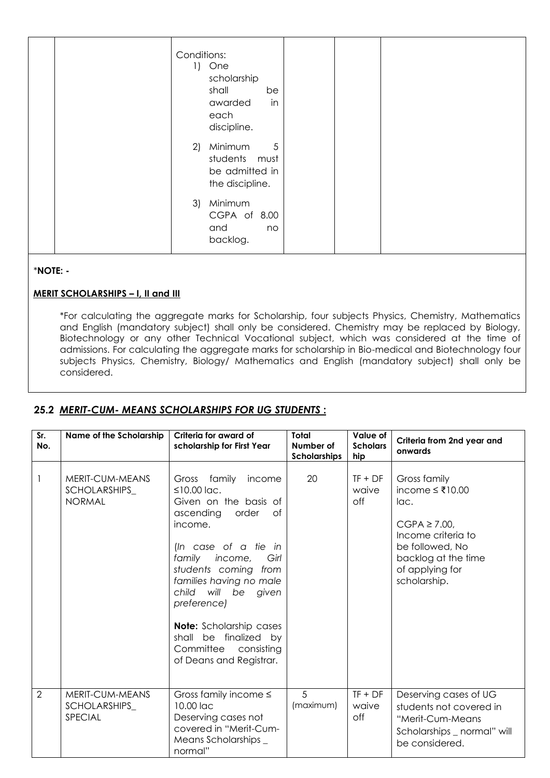| Conditions:<br>One<br>$\left  \cdot \right $<br>scholarship<br>shall<br>be<br>in<br>awarded<br>each<br>discipline. |
|--------------------------------------------------------------------------------------------------------------------|
| Minimum<br>5<br>2)<br>students must<br>be admitted in<br>the discipline.                                           |
| Minimum<br>3)<br>CGPA of 8.00<br>and<br>no<br>backlog.                                                             |

#### *\****NOTE: -**

#### **MERIT SCHOLARSHIPS – I, II and III**

\*For calculating the aggregate marks for Scholarship, four subjects Physics, Chemistry, Mathematics and English (mandatory subject) shall only be considered. Chemistry may be replaced by Biology, Biotechnology or any other Technical Vocational subject, which was considered at the time of admissions. For calculating the aggregate marks for scholarship in Bio-medical and Biotechnology four subjects Physics, Chemistry, Biology/ Mathematics and English (mandatory subject) shall only be considered.

# **25.2** *MERIT-CUM- MEANS SCHOLARSHIPS FOR UG STUDENTS* **:**

| Sr.<br>No.     | Name of the Scholarship                           | Criteria for award of<br>scholarship for First Year                                                                                                                                                                                                                                                                                                                                 | Total<br>Number of<br>Scholarships | Value of<br><b>Scholars</b><br>hip | Criteria from 2nd year and<br>onwards                                                                                                                           |
|----------------|---------------------------------------------------|-------------------------------------------------------------------------------------------------------------------------------------------------------------------------------------------------------------------------------------------------------------------------------------------------------------------------------------------------------------------------------------|------------------------------------|------------------------------------|-----------------------------------------------------------------------------------------------------------------------------------------------------------------|
|                | MERIT-CUM-MEANS<br>SCHOLARSHIPS_<br><b>NORMAL</b> | Gross family<br>income<br>$\leq$ 10.00 lac.<br>Given on the basis of<br>ascending<br>order<br>Οf<br>income.<br>(In case of a tie in<br>family<br>income,<br>Girl<br>students coming<br>from<br>families having no male<br>will be<br>child<br>given<br>preference)<br><b>Note:</b> Scholarship cases<br>shall be finalized by<br>Committee<br>consisting<br>of Deans and Registrar. | 20                                 | $TF + DF$<br>waive<br>off          | Gross family<br>income $≤ ₹10.00$<br>lac.<br>$CGPA \ge 7.00$<br>Income criteria to<br>be followed, No<br>backlog at the time<br>of applying for<br>scholarship. |
| $\overline{2}$ | MERIT-CUM-MEANS<br>SCHOLARSHIPS_<br>SPECIAL       | Gross family income $\leq$<br>10.00 lac<br>Deserving cases not<br>covered in "Merit-Cum-<br>Means Scholarships _<br>normal"                                                                                                                                                                                                                                                         | 5<br>(maximum)                     | $TF + DF$<br>waive<br>off          | Deserving cases of UG<br>students not covered in<br>"Merit-Cum-Means<br>Scholarships _ normal" will<br>be considered.                                           |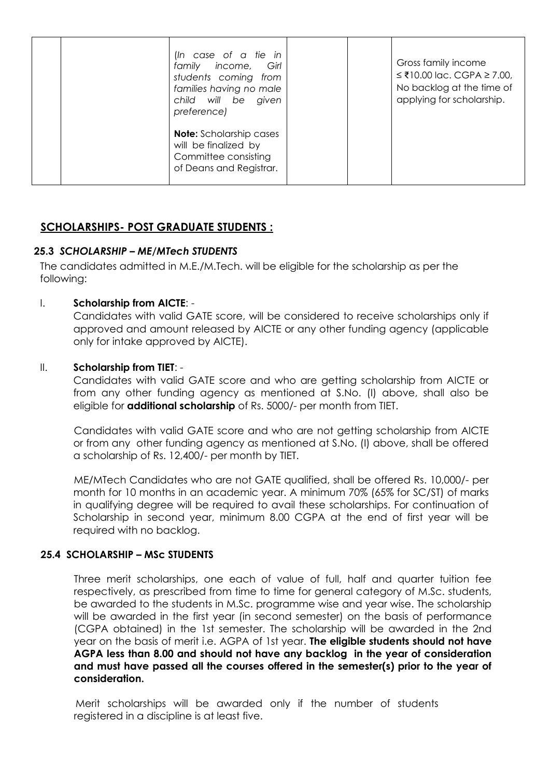| (In case of a tie in<br>family income, Girl<br>students coming from<br>families having no male<br>child will be<br>given<br>preference) |  | Gross family income<br>$\leq$ ₹10.00 lac. CGPA ≥ 7.00,<br>No backlog at the time of<br>applying for scholarship. |
|-----------------------------------------------------------------------------------------------------------------------------------------|--|------------------------------------------------------------------------------------------------------------------|
| <b>Note:</b> Scholarship cases<br>will be finalized by<br>Committee consisting<br>of Deans and Registrar.                               |  |                                                                                                                  |

# **SCHOLARSHIPS- POST GRADUATE STUDENTS :**

## **25.3** *SCHOLARSHIP – ME/MTech STUDENTS*

The candidates admitted in M.E./M.Tech. will be eligible for the scholarship as per the following:

#### I. **Scholarship from AICTE**: -

Candidates with valid GATE score, will be considered to receive scholarships only if approved and amount released by AICTE or any other funding agency (applicable only for intake approved by AICTE).

#### II. **Scholarship from TIET**: -

Candidates with valid GATE score and who are getting scholarship from AICTE or from any other funding agency as mentioned at S.No. (I) above, shall also be eligible for **additional scholarship** of Rs. 5000/- per month from TIET.

Candidates with valid GATE score and who are not getting scholarship from AICTE or from any other funding agency as mentioned at S.No. (I) above, shall be offered a scholarship of Rs. 12,400/- per month by TIET.

ME/MTech Candidates who are not GATE qualified, shall be offered Rs. 10,000/- per month for 10 months in an academic year. A minimum 70% (65% for SC/ST) of marks in qualifying degree will be required to avail these scholarships. For continuation of Scholarship in second year, minimum 8.00 CGPA at the end of first year will be required with no backlog.

#### **25.4 SCHOLARSHIP – MSc STUDENTS**

Three merit scholarships, one each of value of full, half and quarter tuition fee respectively, as prescribed from time to time for general category of M.Sc. students, be awarded to the students in M.Sc. programme wise and year wise. The scholarship will be awarded in the first year (in second semester) on the basis of performance (CGPA obtained) in the 1st semester. The scholarship will be awarded in the 2nd year on the basis of merit i.e. AGPA of 1st year. **The eligible students should not have AGPA less than 8.00 and should not have any backlog in the year of consideration and must have passed all the courses offered in the semester(s) prior to the year of consideration.**

Merit scholarships will be awarded only if the number of students registered in a discipline is at least five.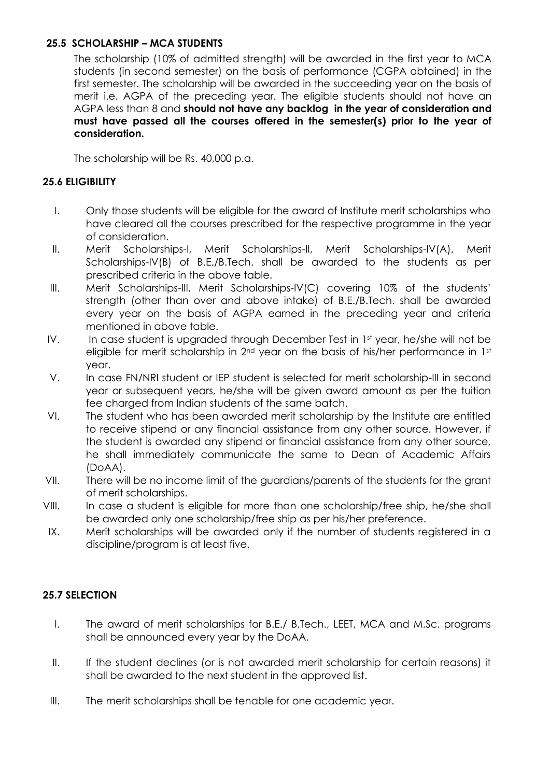# **25.5 SCHOLARSHIP – MCA STUDENTS**

The scholarship (10% of admitted strength) will be awarded in the first year to MCA students (in second semester) on the basis of performance (CGPA obtained) in the first semester. The scholarship will be awarded in the succeeding year on the basis of merit i.e. AGPA of the preceding year. The eligible students should not have an AGPA less than 8 and **should not have any backlog in the year of consideration and must have passed all the courses offered in the semester(s) prior to the year of consideration.**

The scholarship will be Rs. 40,000 p.a.

#### **25.6 ELIGIBILITY**

- I. Only those students will be eligible for the award of Institute merit scholarships who have cleared all the courses prescribed for the respective programme in the year of consideration.
- II. Merit Scholarships-I, Merit Scholarships-II, Merit Scholarships-IV(A), Merit Scholarships-IV(B) of B.E./B.Tech. shall be awarded to the students as per prescribed criteria in the above table.
- III. Merit Scholarships-III, Merit Scholarships-IV(C) covering 10% of the students' strength (other than over and above intake) of B.E./B.Tech. shall be awarded every year on the basis of AGPA earned in the preceding year and criteria mentioned in above table.
- IV. In case student is upgraded through December Test in 1st year, he/she will not be eligible for merit scholarship in 2<sup>nd</sup> year on the basis of his/her performance in 1st year.
- V. In case FN/NRI student or IEP student is selected for merit scholarship-III in second year or subsequent years, he/she will be given award amount as per the tuition fee charged from Indian students of the same batch.
- VI. The student who has been awarded merit scholarship by the Institute are entitled to receive stipend or any financial assistance from any other source. However, if the student is awarded any stipend or financial assistance from any other source, he shall immediately communicate the same to Dean of Academic Affairs (DoAA).
- VII. There will be no income limit of the guardians/parents of the students for the grant of merit scholarships.
- VIII. In case a student is eligible for more than one scholarship/free ship, he/she shall be awarded only one scholarship/free ship as per his/her preference.
- IX. Merit scholarships will be awarded only if the number of students registered in a discipline/program is at least five.

## **25.7 SELECTION**

- I. The award of merit scholarships for B.E./ B.Tech., LEET, MCA and M.Sc. programs shall be announced every year by the DoAA.
- II. If the student declines (or is not awarded merit scholarship for certain reasons) it shall be awarded to the next student in the approved list.
- III. The merit scholarships shall be tenable for one academic year.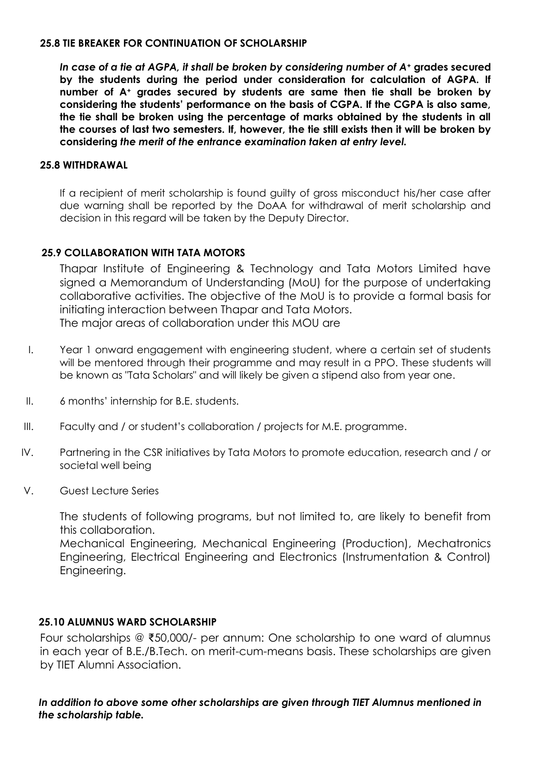#### **25.8 TIE BREAKER FOR CONTINUATION OF SCHOLARSHIP**

*In case of a tie at AGPA, it shall be broken by considering number of A<sup>+</sup>* **grades secured by the students during the period under consideration for calculation of AGPA. If number of A<sup>+</sup> grades secured by students are same then tie shall be broken by considering the students' performance on the basis of CGPA. If the CGPA is also same, the tie shall be broken using the percentage of marks obtained by the students in all the courses of last two semesters. If, however, the tie still exists then it will be broken by considering** *the merit of the entrance examination taken at entry level.*

#### **25.8 WITHDRAWAL**

If a recipient of merit scholarship is found guilty of gross misconduct his/her case after due warning shall be reported by the DoAA for withdrawal of merit scholarship and decision in this regard will be taken by the Deputy Director.

## **25.9 COLLABORATION WITH TATA MOTORS**

Thapar Institute of Engineering & Technology and Tata Motors Limited have signed a Memorandum of Understanding (MoU) for the purpose of undertaking collaborative activities. The objective of the MoU is to provide a formal basis for initiating interaction between Thapar and Tata Motors. The major areas of collaboration under this MOU are

- I. Year 1 onward engagement with engineering student, where a certain set of students will be mentored through their programme and may result in a PPO. These students will be known as "Tata Scholars" and will likely be given a stipend also from year one.
- II. 6 months' internship for B.E. students.
- III. Faculty and / or student's collaboration / projects for M.E. programme.
- IV. Partnering in the CSR initiatives by Tata Motors to promote education, research and / or societal well being
- V. Guest Lecture Series

The students of following programs, but not limited to, are likely to benefit from this collaboration. Mechanical Engineering, Mechanical Engineering (Production), Mechatronics

Engineering, Electrical Engineering and Electronics (Instrumentation & Control) Engineering.

## **25.10 ALUMNUS WARD SCHOLARSHIP**

Four scholarships @ ₹50,000/- per annum: One scholarship to one ward of alumnus in each year of B.E./B.Tech. on merit-cum-means basis. These scholarships are given by TIET Alumni Association.

## *In addition to above some other scholarships are given through TIET Alumnus mentioned in the scholarship table.*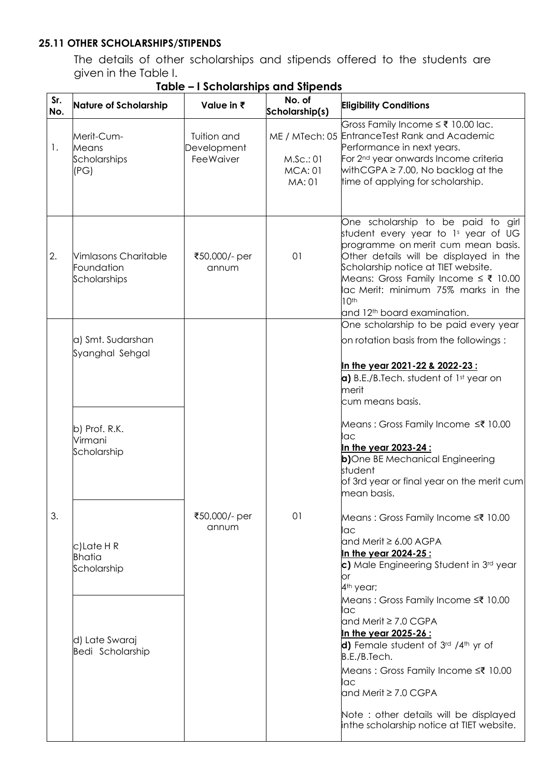# **25.11 OTHER SCHOLARSHIPS/STIPENDS**

The details of other scholarships and stipends offered to the students are given in the Table I.

| Sr.<br>No. | <b>Nature of Scholarship</b>                                                    | Value in ₹                                     | No. of<br>Scholarship(s)             | <b>Eligibility Conditions</b>                                                                                                                                                                                                                                                                                                                                                          |
|------------|---------------------------------------------------------------------------------|------------------------------------------------|--------------------------------------|----------------------------------------------------------------------------------------------------------------------------------------------------------------------------------------------------------------------------------------------------------------------------------------------------------------------------------------------------------------------------------------|
| 1.         | Merit-Cum-<br>Means<br>Scholarships<br>(PG)                                     | Tuition and<br>Development<br><b>FeeWaiver</b> | M.Sc.:01<br><b>MCA: 01</b><br>MA: 01 | Gross Family Income ≤ ₹ 10.00 lac.<br>ME / MTech: 05 EntranceTest Rank and Academic<br>Performance in next years.<br>For 2 <sup>nd</sup> year onwards Income criteria<br>with CGPA $\geq$ 7.00, No backlog at the<br>time of applying for scholarship.                                                                                                                                 |
| 2.         | Vimlasons Charitable<br>Foundation<br>Scholarships                              | ₹50,000/- per<br>annum                         | 01                                   | One scholarship to be paid to girl<br>student every year to 1s year of UG<br>programme on merit cum mean basis.<br>Other details will be displayed in the<br>Scholarship notice at TIET website.<br>Means: Gross Family Income $\leq$ ₹ 10.00<br>lac Merit: minimum 75% marks in the<br>10 <sup>th</sup><br>and 12 <sup>th</sup> board examination.                                    |
|            |                                                                                 |                                                |                                      | One scholarship to be paid every year                                                                                                                                                                                                                                                                                                                                                  |
|            | a) Smt. Sudarshan<br>Syanghal Sehgal                                            |                                                |                                      | on rotation basis from the followings:<br>In the year 2021-22 & 2022-23 :<br>a) B.E./B.Tech. student of 1st year on<br>merit<br>cum means basis.                                                                                                                                                                                                                                       |
|            | b) Prof. R.K.<br>Virmani<br>Scholarship                                         |                                                |                                      | Means: Gross Family Income ≤₹ 10.00<br>lac<br>In the year 2023-24 :<br>b)One BE Mechanical Engineering<br>student<br>of 3rd year or final year on the merit cum<br>mean basis.                                                                                                                                                                                                         |
| 3.         | c)Late HR<br><b>Bhatia</b><br>Scholarship<br>d) Late Swaraj<br>Bedi Scholarship | ₹50,000/- per<br>annum                         | 01                                   | Means: Gross Family Income ≤₹ 10.00<br>lac<br>and Merit ≥ 6.00 AGPA<br>In the year 2024-25 :<br>c) Male Engineering Student in 3rd year<br>or<br>4 <sup>th</sup> year;<br>Means: Gross Family Income ≤₹ 10.00<br>lac<br>and Merit $\geq 7.0$ CGPA<br><u>In the year 2025-26 :</u><br>d) Female student of 3rd /4th yr of<br>B.E./B.Tech.<br>Means: Gross Family Income ≤₹ 10.00<br>lac |
|            |                                                                                 |                                                |                                      | and Merit $\geq 7.0$ CGPA<br>Note: other details will be displayed<br>inthe scholarship notice at TIET website.                                                                                                                                                                                                                                                                        |

**Table – I Scholarships and Stipends**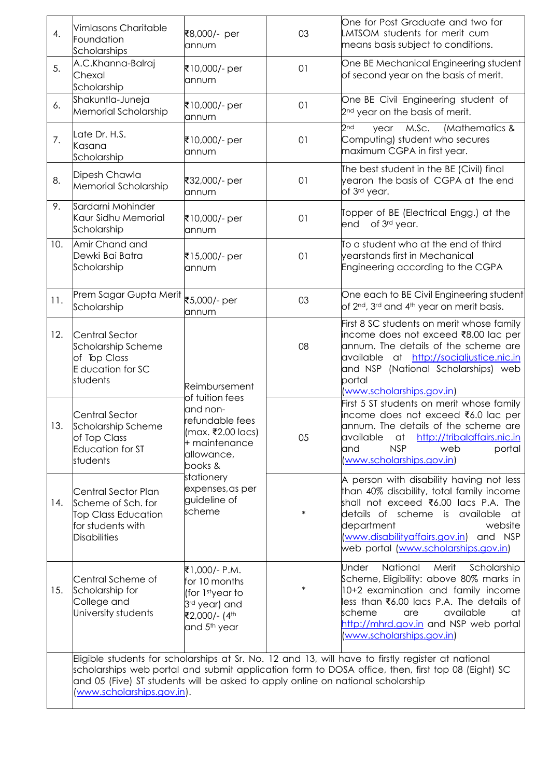| 4.  | Vimlasons Charitable<br>Foundation<br>Scholarships                                                                                                                                                                                                                                                                       | ₹8,000/- per<br>annum                                                                                                                                                     | 03     | One for Post Graduate and two for<br>LMTSOM students for merit cum<br>means basis subject to conditions.                                                                                                                                                                               |                                                                                                                                                                                                                                               |
|-----|--------------------------------------------------------------------------------------------------------------------------------------------------------------------------------------------------------------------------------------------------------------------------------------------------------------------------|---------------------------------------------------------------------------------------------------------------------------------------------------------------------------|--------|----------------------------------------------------------------------------------------------------------------------------------------------------------------------------------------------------------------------------------------------------------------------------------------|-----------------------------------------------------------------------------------------------------------------------------------------------------------------------------------------------------------------------------------------------|
| 5.  | A.C.Khanna-Balraj<br>Chexal<br>Scholarship                                                                                                                                                                                                                                                                               | ₹10,000/- per<br>annum                                                                                                                                                    | 01     | One BE Mechanical Engineering student<br>of second year on the basis of merit.                                                                                                                                                                                                         |                                                                                                                                                                                                                                               |
| 6.  | Shakuntla-Juneja<br>Memorial Scholarship                                                                                                                                                                                                                                                                                 | ₹10,000/- per<br>annum                                                                                                                                                    | 01     | One BE Civil Engineering student of<br>2 <sup>nd</sup> year on the basis of merit.                                                                                                                                                                                                     |                                                                                                                                                                                                                                               |
| 7.  | Late Dr. H.S.<br>Kasana<br>Scholarship                                                                                                                                                                                                                                                                                   | ₹10,000/- per<br>annum                                                                                                                                                    | 01     | 2nd<br>(Mathematics &<br>M.Sc.<br>year<br>Computing) student who secures<br>maximum CGPA in first year.                                                                                                                                                                                |                                                                                                                                                                                                                                               |
| 8.  | Dipesh Chawla<br>Memorial Scholarship                                                                                                                                                                                                                                                                                    | ₹32,000/- per<br>annum                                                                                                                                                    | 01     | The best student in the BE (Civil) final<br>yearon the basis of CGPA at the end<br>of 3rd year.                                                                                                                                                                                        |                                                                                                                                                                                                                                               |
| 9.  | Sardarni Mohinder<br>Kaur Sidhu Memorial<br>Scholarship                                                                                                                                                                                                                                                                  | ₹10,000/- per<br>annum                                                                                                                                                    | 01     | Topper of BE (Electrical Engg.) at the<br>of 3rd year.<br>end                                                                                                                                                                                                                          |                                                                                                                                                                                                                                               |
| 10. | Amir Chand and<br>Dewki Bai Batra<br>Scholarship                                                                                                                                                                                                                                                                         | ₹15,000/- per<br>annum                                                                                                                                                    | 01     | To a student who at the end of third<br>vearstands first in Mechanical<br>Engineering according to the CGPA                                                                                                                                                                            |                                                                                                                                                                                                                                               |
| 11. | Prem Sagar Gupta Merit   ₹5,000/- per<br>Scholarship                                                                                                                                                                                                                                                                     | annum                                                                                                                                                                     | 03     | One each to BE Civil Engineering student<br>of 2nd, 3rd and 4th year on merit basis.                                                                                                                                                                                                   |                                                                                                                                                                                                                                               |
| 12. | <b>Central Sector</b><br>Scholarship Scheme<br>of Top Class<br>E ducation for SC<br>students                                                                                                                                                                                                                             | Reimbursement                                                                                                                                                             | 08     | First 8 SC students on merit whose family<br>income does not exceed ₹8.00 lac per<br>annum. The details of the scheme are<br>available at http://socialjustice.nic.in<br>and NSP (National Scholarships) web<br>portal<br>(www.scholarships.gov.in)                                    |                                                                                                                                                                                                                                               |
| 13. | <b>Central Sector</b><br>Scholarship Scheme<br>of Top Class<br>Education for ST<br>students                                                                                                                                                                                                                              | of tuition fees<br>and non-<br>refundable fees<br>(max. ₹2.00 lacs)<br>+ maintenance<br>allowance,<br>books &<br>stationery<br>expenses, as per<br>guideline of<br>scheme |        | 05                                                                                                                                                                                                                                                                                     | First 5 ST students on merit whose family<br>income does not exceed ₹6.0 lac per<br>annum. The details of the scheme are<br>available<br>http://tribalaffairs.nic.in<br>at<br><b>NSP</b><br>and<br>web<br>portal<br>(www.scholarships.gov.in) |
| 14. | Central Sector Plan<br>Scheme of Sch. for<br><b>Top Class Education</b><br>for students with<br><b>Disabilities</b>                                                                                                                                                                                                      |                                                                                                                                                                           | $\ast$ | A person with disability having not less<br>than 40% disability, total family income<br>shall not exceed ₹6.00 lacs P.A. The<br>details of scheme is available at<br>department<br>website<br>(www.disabilityaffairs.gov.in) and NSP<br>web portal (www.scholarships.gov.in)           |                                                                                                                                                                                                                                               |
| 15. | Central Scheme of<br>Scholarship for<br>College and<br>University students                                                                                                                                                                                                                                               | ₹1,000/- P.M.<br>for 10 months<br>(for 1styear to<br>3rd year) and<br>₹2,000/- (4th<br>and 5 <sup>th</sup> year                                                           | ∗      | National<br>Merit<br>Scholarship<br><b>Under</b><br>Scheme, Eligibility: above 80% marks in<br>10+2 examination and family income<br>less than ₹6.00 lacs P.A. The details of<br>scheme<br>available<br>are<br>at<br>http://mhrd.gov.in and NSP web portal<br>www.scholarships.gov.in) |                                                                                                                                                                                                                                               |
|     | Eligible students for scholarships at Sr. No. 12 and 13, will have to firstly register at national<br>scholarships web portal and submit application form to DOSA office, then, first top 08 (Eight) SC<br>and 05 (Five) ST students will be asked to apply online on national scholarship<br>(www.scholarships.gov.in). |                                                                                                                                                                           |        |                                                                                                                                                                                                                                                                                        |                                                                                                                                                                                                                                               |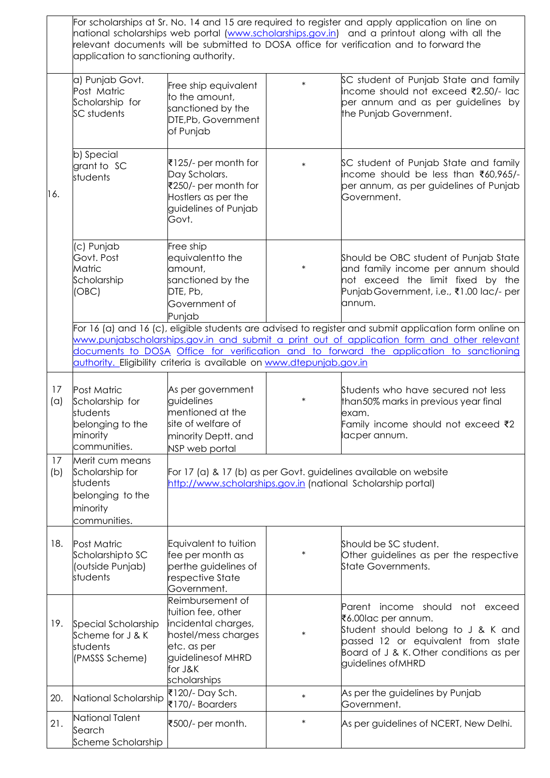|           | application to sanctioning authority.                                                          |                                                                                                                                                      |        | For scholarships at Sr. No. 14 and 15 are required to register and apply application on line on<br>national scholarships web portal (www.scholarships.gov.in) and a printout along with all the<br>relevant documents will be submitted to DOSA office for verification and to forward the       |
|-----------|------------------------------------------------------------------------------------------------|------------------------------------------------------------------------------------------------------------------------------------------------------|--------|--------------------------------------------------------------------------------------------------------------------------------------------------------------------------------------------------------------------------------------------------------------------------------------------------|
|           | a) Punjab Govt.<br>Post Matric<br>Scholarship for<br>SC students                               | Free ship equivalent<br>to the amount,<br>sanctioned by the<br>DTE, Pb, Government<br>of Punjab                                                      | $\ast$ | SC student of Punjab State and family<br>income should not exceed ₹2.50/- lac<br>per annum and as per guidelines by<br>the Punjab Government.                                                                                                                                                    |
| 16.       | b) Special<br>grant to SC<br>students                                                          | ₹125/- per month for<br>Day Scholars.<br>₹250/- per month for<br>Hostlers as per the<br>guidelines of Punjab<br>Govt.                                | $\ast$ | SC student of Punjab State and family<br>income should be less than ₹60,965/-<br>per annum, as per guidelines of Punjab<br>Government.                                                                                                                                                           |
|           | (c) Punjab<br>Govt. Post<br>Matric<br>Scholarship<br>(OBC)                                     | Free ship<br>equivalentto the<br>amount,<br>sanctioned by the<br>DTE, Pb,<br>Government of<br>Punjab                                                 | $\ast$ | Should be OBC student of Punjab State<br>and family income per annum should<br>not exceed the limit fixed by the<br>Punjab Government, i.e., ₹1.00 lac/- per<br>annum.                                                                                                                           |
|           |                                                                                                | authority. Eligibility criteria is available on www.dtepunjab.gov.in                                                                                 |        | For 16 (a) and 16 (c), eligible students are advised to register and submit application form online on<br>www.punjabscholarships.gov.in and submit a print out of application form and other relevant<br>documents to DOSA Office for verification and to forward the application to sanctioning |
| 17<br>(a) | Post Matric<br>Scholarship for<br>students<br>belonging to the<br>minority<br>communities.     | As per government<br>guidelines<br>mentioned at the<br>site of welfare of<br>minority Deptt. and<br>NSP web portal                                   | $\ast$ | Students who have secured not less<br>than50% marks in previous year final<br>exam.<br>Family income should not exceed ₹2<br>lacper annum.                                                                                                                                                       |
| 17<br>(b) | Merit cum means<br>Scholarship for<br>students<br>belonging to the<br>minority<br>communities. | http://www.scholarships.gov.in (national Scholarship portal)                                                                                         |        | For 17 (a) & 17 (b) as per Govt. guidelines available on website                                                                                                                                                                                                                                 |
| 18.       | <b>Post Matric</b><br>Scholarshipto SC<br>(outside Punjab)<br>students                         | Equivalent to tuition<br>fee per month as<br>perthe guidelines of<br>respective State<br>Government.                                                 | $\ast$ | Should be SC student.<br>Other guidelines as per the respective<br>State Governments.                                                                                                                                                                                                            |
| 19.       | Special Scholarship<br>Scheme for J & K<br>students<br>(PMSSS Scheme)                          | Reimbursement of<br>tuition fee, other<br>incidental charges,<br>hostel/mess charges<br>etc. as per<br>guidelines of MHRD<br>for J&K<br>scholarships | ∗      | Parent income should not exceed<br>₹6.00lac per annum.<br>Student should belong to J & K and<br>passed 12 or equivalent from state<br>Board of J & K. Other conditions as per<br>guidelines of MHRD                                                                                              |
| 20.       | National Scholarship                                                                           | ₹120/- Day Sch.<br>₹170/- Boarders                                                                                                                   | $\ast$ | As per the guidelines by Punjab<br>Government.                                                                                                                                                                                                                                                   |
| 21.       | National Talent<br>Search<br>Scheme Scholarship                                                | ₹500/- per month.                                                                                                                                    | $\ast$ | As per guidelines of NCERT, New Delhi.                                                                                                                                                                                                                                                           |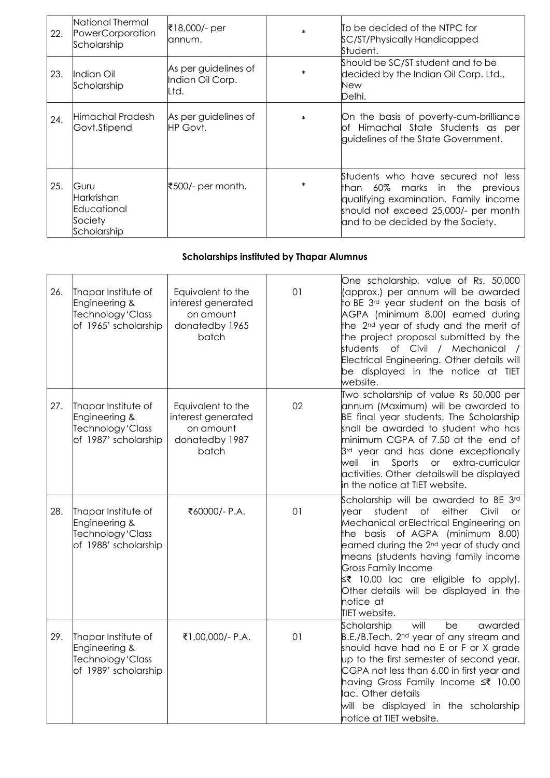| 22. | National Thermal<br>PowerCorporation<br>Scholarship         | ₹18,000/- per<br>annum.                          | $\ast$ | ITo be decided of the NTPC for<br>SC/ST/Physically Handicapped<br>Student.                                                                                                                    |
|-----|-------------------------------------------------------------|--------------------------------------------------|--------|-----------------------------------------------------------------------------------------------------------------------------------------------------------------------------------------------|
| 23. | Indian Oil<br>Scholarship                                   | As per guidelines of<br>Indian Oil Corp.<br>Ltd. | $\ast$ | Should be SC/ST student and to be<br>decided by the Indian Oil Corp. Ltd.,<br>New<br>Delhi.                                                                                                   |
| 24. | Himachal Pradesh<br>Govt.Stipend                            | As per guidelines of<br>HP Govt.                 | $\ast$ | On the basis of poverty-cum-brilliance<br>of Himachal State Students as per<br>quidelines of the State Government.                                                                            |
| 25. | Guru<br>Harkrishan<br>Educational<br>Society<br>Scholarship | ₹500/- per month.                                |        | Students who have secured not less<br>than 60%<br>marks in the previous<br>qualifying examination. Family income<br>should not exceed 25,000/- per month<br>and to be decided by the Society. |

### **Scholarships instituted by Thapar Alumnus**

| 26. | Thapar Institute of<br>Engineering &<br>Technology 'Class<br>of 1965' scholarship | Equivalent to the<br>interest generated<br>on amount<br>donatedby 1965<br>batch | 01 | One scholarship, value of Rs. 50,000<br>(approx.) per annum will be awarded<br>to BE 3 <sup>rd</sup> year student on the basis of<br>AGPA (minimum 8.00) earned during<br>the 2 <sup>nd</sup> year of study and the merit of<br>the project proposal submitted by the<br>students<br>of Civil / Mechanical /<br>Electrical Engineering. Other details will<br>be displayed in the notice at TIET<br>website.                            |
|-----|-----------------------------------------------------------------------------------|---------------------------------------------------------------------------------|----|-----------------------------------------------------------------------------------------------------------------------------------------------------------------------------------------------------------------------------------------------------------------------------------------------------------------------------------------------------------------------------------------------------------------------------------------|
| 27. | Thapar Institute of<br>Engineering &<br>Technology 'Class<br>of 1987' scholarship | Equivalent to the<br>interest generated<br>on amount<br>donatedby 1987<br>batch | 02 | Two scholarship of value Rs 50,000 per<br>annum (Maximum) will be awarded to<br>BE final year students. The Scholarship<br>shall be awarded to student who has<br>minimum CGPA of 7.50 at the end of<br>3 <sup>rd</sup> year and has done exceptionally<br>or extra-curricular<br>well<br>in<br>Sports<br>activities. Other detailswill be displayed<br>in the notice at TIET website.                                                  |
| 28. | Thapar Institute of<br>Engineering &<br>Technology 'Class<br>of 1988' scholarship | ₹60000/- P.A.                                                                   | 01 | Scholarship will be awarded to BE 3rd<br>$\circ$ f<br>either<br>Civil<br>student<br>vear<br><b>or</b><br>Mechanical or Electrical Engineering on<br>the basis of AGPA (minimum 8.00)<br>earned during the 2 <sup>nd</sup> year of study and<br>means (students having family income<br><b>Gross Family Income</b><br>$\leq$ ₹ 10.00 lac are eligible to apply).<br>Other details will be displayed in the<br>notice at<br>TIET website. |
| 29. | Thapar Institute of<br>Engineering &<br>Technology 'Class<br>of 1989' scholarship | ₹1,00,000/- P.A.                                                                | 01 | Scholarship<br>will<br>be<br>awarded<br>B.E./B.Tech. 2 <sup>nd</sup> year of any stream and<br>should have had no E or F or X grade<br>up to the first semester of second year.<br>CGPA not less than 6.00 in first year and<br>having Gross Family Income ≤₹ 10.00<br>lac. Other details<br>will be displayed in the scholarship<br>notice at TIET website.                                                                            |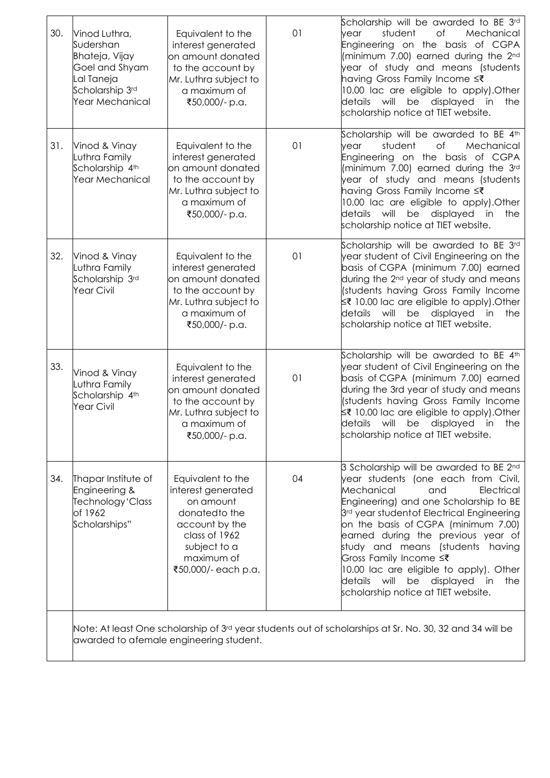| 30. | Vinod Luthra,<br>Sudershan<br>Bhateja, Vijay<br>Goel and Shyam<br>al Taneja<br>Scholarship 3rd<br>Year Mechanical                                   | Equivalent to the<br>interest generated<br>on amount donated<br>to the account by<br>Mr. Luthra subject to<br>a maximum of<br>₹50,000/- p.a.                  | 01 | Scholarship will be awarded to BE 3rd<br>of<br>Mechanical<br>student<br>vear<br>Engineering on the basis of CGPA<br>(minimum 7.00) earned during the 2nd<br>year of study and means (students<br>having Gross Family Income ≤₹<br>10.00 lac are eligible to apply). Other<br>details will<br>be displayed<br>in<br>the<br>scholarship notice at TIET website.                                                                                                                            |  |
|-----|-----------------------------------------------------------------------------------------------------------------------------------------------------|---------------------------------------------------------------------------------------------------------------------------------------------------------------|----|------------------------------------------------------------------------------------------------------------------------------------------------------------------------------------------------------------------------------------------------------------------------------------------------------------------------------------------------------------------------------------------------------------------------------------------------------------------------------------------|--|
| 31. | Vinod & Vinay<br>Luthra Family<br>Scholarship 4th<br>Year Mechanical                                                                                | Equivalent to the<br>interest generated<br>on amount donated<br>to the account by<br>Mr. Luthra subject to<br>a maximum of<br>₹50,000/- p.a.                  | 01 | Scholarship will be awarded to BE 4th<br>student<br>of<br>Mechanical<br>vear<br>Engineering on the basis of CGPA<br>(minimum 7.00) earned during the 3rd<br>year of study and means (students<br>having Gross Family Income ≤₹<br>10.00 lac are eligible to apply). Other<br>details will<br>be displayed<br>in<br>the<br>scholarship notice at TIET website.                                                                                                                            |  |
| 32. | Vinod & Vinay<br>Luthra Family<br>Scholarship 3rd<br><b>Year Civil</b>                                                                              | Equivalent to the<br>interest generated<br>on amount donated<br>to the account by<br>Mr. Luthra subject to<br>a maximum of<br>₹50,000/- p.a.                  | 01 | Scholarship will be awarded to BE 3rd<br>year student of Civil Engineering on the<br>basis of CGPA (minimum 7.00) earned<br>during the 2 <sup>nd</sup> year of study and means<br>(students having Gross Family Income<br>$\leq$ ₹ 10.00 lac are eligible to apply).Other<br>details<br>will<br>be displayed<br>the<br>in<br>scholarship notice at TIET website.                                                                                                                         |  |
| 33. | Vinod & Vinay<br>Luthra Family<br>Scholarship 4th<br><b>Year Civil</b>                                                                              | Equivalent to the<br>interest generated<br>on amount donated<br>to the account by<br>Mr. Luthra subject to<br>a maximum of<br>₹50,000/- p.a.                  | 01 | Scholarship will be awarded to BE 4th<br>year student of Civil Engineering on the<br>basis of CGPA (minimum 7.00) earned<br>during the 3rd year of study and means<br>(students having Gross Family Income<br>≤₹ 10.00 lac are eligible to apply).Other<br>details<br>will<br>be displayed<br>in<br>the<br>scholarship notice at TIET website.                                                                                                                                           |  |
| 34. | Thapar Institute of<br>Engineering &<br>Technology 'Class<br>of 1962<br>Scholarships"                                                               | Equivalent to the<br>interest generated<br>on amount<br>donatedto the<br>account by the<br>class of 1962<br>subject to a<br>maximum of<br>₹50,000/- each p.a. | 04 | $3$ Scholarship will be awarded to BE 2nd<br>year students (one each from Civil,<br>Mechanical<br>Electrical<br>and<br>Engineering) and one Scholarship to BE<br>3rd year student of Electrical Engineering<br>on the basis of CGPA (minimum 7.00)<br>earned during the previous year of<br>study and means (students having<br>Gross Family Income ≤₹<br>10.00 lac are eligible to apply). Other<br>details<br>will<br>be displayed<br>the<br>in<br>scholarship notice at TIET website. |  |
|     | Note: At least One scholarship of 3rd year students out of scholarships at Sr. No. 30, 32 and 34 will be<br>awarded to afemale engineering student. |                                                                                                                                                               |    |                                                                                                                                                                                                                                                                                                                                                                                                                                                                                          |  |